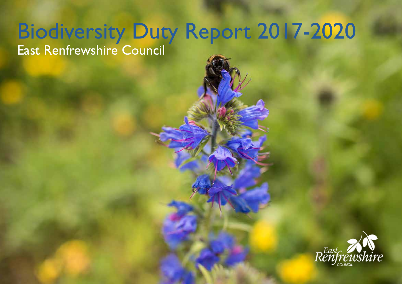# Biodiversity Duty Report 2017-2020 East Renfrewshire Council

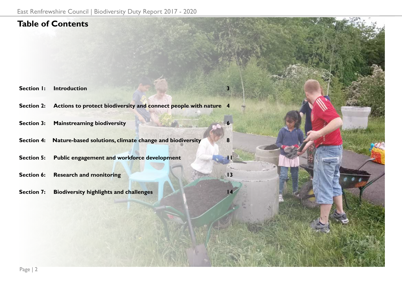# **Table of Contents**

- **Section 1: Introduction 3**
- **Section 2: Actions to protect biodiversity and connect people with nature 4**
- **Section 3: Mainstreaming biodiversity 6**
- **Section 4: Nature-based solutions, climate change and biodiversity 8**
- **Section 5: Public engagement and workforce development 11**
- **Section 6: Research and monitoring 13**
- **Section 7:** Biodiversity highlights and challenges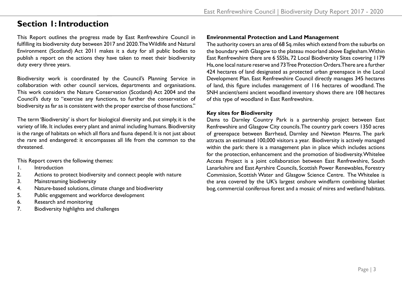# **Section 1: Introduction**

This Report outlines the progress made by East Renfrewshire Council in fulfilling its biodiversity duty between 2017 and 2020. The Wildlife and Natural Environment (Scotland) Act 2011 makes it a duty for all public bodies to publish a report on the actions they have taken to meet their biodiversity duty every three years.

Biodiversity work is coordinated by the Council's Planning Service in collaboration with other council services, departments and organisations. This work considers the Nature Conservation (Scotland) Act 2004 and the Council's duty to "exercise any functions, to further the conservation of biodiversity as far as is consistent with the proper exercise of those functions."

The term 'Biodiversity' is short for biological diversity and, put simply, it is the variety of life. It includes every plant and animal including humans. Biodiversity is the range of habitats on which all flora and fauna depend. It is not just about the rare and endangered: it encompasses all life from the common to the threatened.

This Report covers the following themes:

- 1. Introduction
- 2. Actions to protect biodiversity and connect people with nature
- 3. Mainstreaming biodiversity
- 4. Nature-based solutions, climate change and biodiveristy
- 5. Public engagement and workforce development
- 6. Research and monitoring
- 7. Biodiversity highlights and challenges

## **Environmental Protection and Land Management**

The authority covers an area of 68 Sq. miles which extend from the suburbs on the boundary with Glasgow to the plateau moorland above Eaglesham. Within East Renfrewshire there are 6 SSSIs, 72 Local Biodiversity Sites covering 1179 Ha, one local nature reserve and 73 Tree Protection Orders. There are a further 424 hectares of land designated as protected urban greenspace in the Local Development Plan. East Renfrewshire Council directly manages 345 hectares of land, this figure includes management of 116 hectares of woodland. The SNH ancient/semi ancient woodland inventory shows there are 108 hectares of this type of woodland in East Renfrewshire.

## **Key sites for Biodiversity**

Dams to Darnley Country Park is a partnership project between East Renfrewshire and Glasgow City councils. The country park covers 1350 acres of greenspace between Barrhead, Darnley and Newton Mearns. The park attracts an estimated 100,000 visitors a year. Biodiversity is actively managed within the park: there is a management plan in place which includes actions for the protection, enhancement and the promotion of biodiversity. Whitelee Access Project is a joint collaboration between East Renfrewshire, South Lanarkshire and East Ayrshire Councils, Scottish Power Renewables, Forestry Commission, Scottish Water and Glasgow Science Centre. The Whitelee is the area covered by the UK's largest onshore windfarm combining blanket bog, commercial coniferous forest and a mosaic of mires and wetland habitats.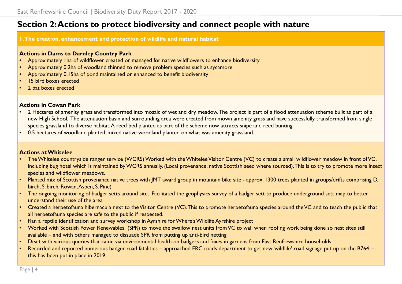# **Section 2: Actions to protect biodiversity and connect people with nature**

#### **1. The creation, enhancement and protection of wildlife and natural habitat**

#### **Actions in Dams to Darnley Country Park**

- Approximately I ha of wildflower created or managed for native wildflowers to enhance biodiversity
- Approximately 0.2ha of woodland thinned to remove problem species such as sycamore
- Approximately 0.15ha of pond maintained or enhanced to benefit biodiversity
- 15 bird boxes erected
- 2 bat boxes erected

### **Actions in Cowan Park**

- 2 Hectares of amenity grassland transformed into mosaic of wet and dry meadow. The project is part of a flood attenuation scheme built as part of a new High School. The attenuation basin and surrounding area were created from mown amenity grass and have successfully transformed from single species grassland to diverse habitat. A reed bed planted as part of the scheme now attracts snipe and reed bunting
- 0.5 hectares of woodland planted, mixed native woodland planted on what was amenity grassland.

#### **Actions at Whitelee**

- The Whitelee countryside ranger service (WCRS) Worked with the Whitelee Visitor Centre (VC) to create a small wildflower meadow in front of VC, including bug hotel which is maintained by WCRS annually. (Local provenance, native Scottish seed where sourced). This is to try to promote more insect species and wildflower meadows.
- Planted mix of Scottish provenance native trees with JMT award group in mountain bike site approx. 1300 trees planted in groups/drifts comprising D. birch, S. birch, Rowan, Aspen, S. Pine)
- The ongoing monitoring of badger setts around site. Facilitated the geophysics survey of a badger sett to produce underground sett map to better understand their use of the area
- Created a herpetofauna hibernacula next to the Visitor Centre (VC). This to promote herpetofauna species around the VC and to teach the public that all herpetofauna species are safe to the public if respected.
- Ran a reptile identification and survey workshop in Ayrshire for Where's Wildlife Ayrshire project
- Worked with Scottish Power Renewables (SPR) to move the swallow nest units from VC to wall when roofing work being done so nest sites still available – and with others managed to dissuade SPR from putting up anti-bird netting
- Dealt with various queries that came via environmental health on badgers and foxes in gardens from East Renfrewshire households.
- Recorded and reported numerous badger road fatalities approached ERC roads department to get new 'wildlife' road signage put up on the B764 this has been put in place in 2019.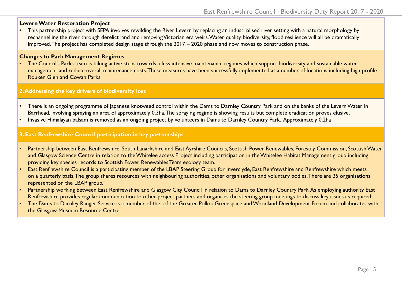#### **Levern Water Restoration Project**

• This partnership project with SEPA involves rewilding the River Levern by replacing an industrialised river setting with a natural morphology by rechannelling the river through derelict land and removing Victorian era weirs. Water quality, biodiversity, flood resilience will all be dramatically improved. The project has completed design stage through the 2017 – 2020 phase and now moves to construction phase.

#### **Changes to Park Management Regimes**

The Council's Parks team is taking active steps towards a less intensive maintenance regimes which support biodiversity and sustainable water management and reduce overall maintenance costs. These measures have been successfully implemented at a number of locations including high profile Rouken Glen and Cowan Parks

#### **2. Addressing the key drivers of biodiversity loss**

- There is an ongoing programme of Japanese knotweed control within the Dams to Darnley Country Park and on the banks of the Levern Water in Barrhead, involving spraying an area of approximately 0.3ha. The spraying regime is showing results but complete eradication proves elusive.
- Invasive Himalayan balsam is removed as an ongoing project by volunteers in Dams to Darnley Country Park. Approximately 0.2ha

#### **3. East Renfrewshire Council participation in key partnerships**

- Partnership between East Renfrewshire, South Lanarkshire and East Ayrshire Councils, Scottish Power Renewables, Forestry Commission, Scottish Water and Glasgow Science Centre in relation to the Whitelee access Project including participation in the Whitelee Habitat Management group including providing key species records to Scottish Power Renewables Team ecology team.
- East Renfrewshire Council is a participating member of the LBAP Steering Group for Inverclyde, East Renfrewshire and Renfrewshire which meets on a quarterly basis. The group shares resources with neighbouring authorities, other organisations and voluntary bodies. There are 25 organisations represented on the LBAP group.
- Partnership working between East Renfrewshire and Glasgow City Council in relation to Dams to Darnley Country Park. As employing authority East Renfrewshire provides regular communication to other project partners and organises the steering group meetings to discuss key issues as required.
- The Dams to Darnley Ranger Service is a member of the of the Greater Pollok Greenspace and Woodland Development Forum and collaborates with the Glasgow Museum Resource Centre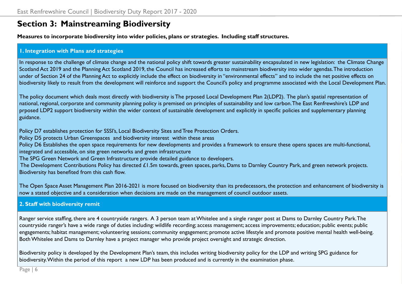# **Section 3: Mainstreaming Biodiversity**

**Measures to incorporate biodiversity into wider policies, plans or strategies. Including staff structures.**

## **1. Integration with Plans and strategies**

In response to the challenge of climate change and the national policy shift towards greater sustainability encapsulated in new legislation: the Climate Change Scotland Act 2019 and the Planning Act Scotland 2019, the Council has increased efforts to mainstream biodiversity into wider agendas. The introduction under of Section 24 of the Planning Act to explicitly include the effect on biodiversity in "environmental effects" and to include the net positive effects on biodiversity likely to result from the development will reinforce and support the Council's policy and programme associated with the Local Development Plan.

The policy document which deals most directly with biodiversity is The prposed Local Development Plan 2(LDP2). The plan's spatial representation of national, regional, corporate and community planning policy is premised on principles of sustainability and low carbon. The East Renfrewshire's LDP and prposed LDP2 support biodiversity within the wider context of sustainable development and explicitly in specific policies and supplementary planning guidance.

Policy D7 establishes protection for SSSI's, Local Biodiversity Sites and Tree Protection Orders.

Policy D5 protects Urban Greenspaces and biodiversity interest within these areas

Policy D6 Establishes the open space requirements for new developments and provides a framework to ensure these opens spaces are multi-functional, integrated and accessible, on site green networks and green infrastructure

The SPG Green Network and Green Infrastructure provide detailed guidance to developers.

The Development Contributions Policy has directed £1.5m towards, green spaces, parks, Dams to Darnley Country Park, and green network projects. Biodiversity has benefited from this cash flow.

The Open Space Asset Management Plan 2016-2021 is more focused on biodiversity than its predecessors, the protection and enhancement of biodiversity is now a stated objective and a consideration when decisions are made on the management of council outdoor assets.

## **2. Staff with biodiversity remit**

Ranger service staffing, there are 4 countryside rangers. A 3 person team at Whitelee and a single ranger post at Dams to Darnley Country Park. The countryside ranger's have a wide range of duties including: wildlife recording; access management; access improvements; education; public events; public engagements; habitat management; volunteering sessions; community engagement; promote active lifestyle and promote positive mental health well-being. Both Whitelee and Dams to Darnley have a project manager who provide project oversight and strategic direction.

Biodiversity policy is developed by the Development Plan's team, this includes writing biodiversity policy for the LDP and writing SPG guidance for biodiversity. Within the period of this report a new LDP has been produced and is currently in the examination phase.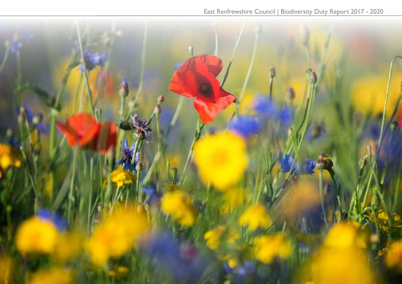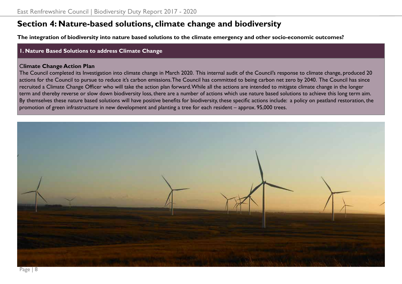# **Section 4: Nature-based solutions, climate change and biodiversity**

**The integration of biodiversity into nature based solutions to the climate emergency and other socio-economic outcomes?**

#### **1. Nature Based Solutions to address Climate Change**

#### C**limate Change Action Plan**

The Council completed its Investigation into climate change in March 2020. This internal audit of the Council's response to climate change, produced 20 actions for the Council to pursue to reduce it's carbon emissions. The Council has committed to being carbon net zero by 2040. The Council has since recruited a Climate Change Officer who will take the action plan forward. While all the actions are intended to mitigate climate change in the longer term and thereby reverse or slow down biodiversity loss, there are a number of actions which use nature based solutions to achieve this long term aim. By themselves these nature based solutions will have positive benefits for biodiversity, these specific actions include: a policy on peatland restoration, the promotion of green infrastructure in new development and planting a tree for each resident – approx. 95,000 trees.

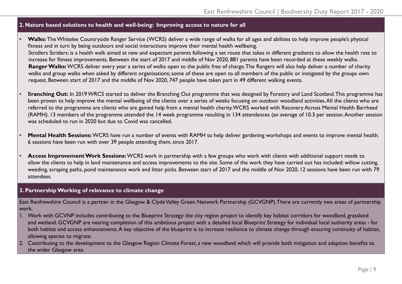#### **2. Nature based solutions to health and well-being: Improving access to nature for all**

- **Walks:** The Whitelee Countryside Ranger Service (WCRS) deliver a wide range of walks for all ages and abilities to help improve people's physical fitness and in turn by being outdoors and social interactions improve their mental health wellbeing. Strollers Striders: is a health walk aimed at new and expectant parents following a set route that takes in different gradients to allow the health rate to increase for fitness improvements. Between the start of 2017 and middle of Nov 2020, 881 parents have been recorded at these weekly walks. **Ranger Walks:** WCRS deliver every year a series of walks open to the public free of charge. The Rangers will also help deliver a number of charity walks and group walks when asked by different organisations; some of these are open to all members of the public or instigated by the groups own request. Between start of 2017 and the middle of Nov 2020, 747 people have taken part in 49 different walking events.
- B**ranching Out:** In 2019 WRCS started to deliver the Branching Out programme that was designed by Forestry and Land Scotland. This programme has been proven to help improve the mental wellbeing of the clients over a series of weeks focusing on outdoor woodland activities. All the clients who are referred to the programme are clients who are gained help from a mental health charity. WCRS worked with Recovery Across Mental Health Barrhead (RAMH). 13 members of the programme attended the 14 week programme resulting in 134 attendances (an average of 10.3 per session. Another session was scheduled to run in 2020 but due to Covid was cancelled.
- **Mental Health Sessions:** WCRS have run a number of events with RAMH to help deliver gardening workshops and events to improve mental health. 6 sessions have been run with over 39 people attending them, since 2017.
- **Access Improvement Work Sessions:** WCRS work in partnership with a few groups who work with clients with additional support needs to allow the clients to help in land maintenance and access improvements to the site. Some of the work they have carried out has included: willow cutting, weeding, scraping paths, pond maintenance work and litter picks. Between start of 2017 and the middle of Nov 2020, 12 sessions have been run with 79 attendees.

#### **3. Partnership Working of relevance to climate change**

East Renfrewshire Council is a partner in the Glasgow & Clyde Valley Green Network Partnership (GCVGNP). There are currently two areas of partnership work.

- 1. Work with GCVNP includes contributing to the Blueprint Strategy: the city region project to identify key habitat corridors for woodland, grassland and wetland. GCVGNP are nearing completion of this ambitious project with a detailed local Blueprint Strategy for individual local authority areas - for both habitat and access enhancements. A key objective of the blueprint is to increase resilience to climate change through ensuring continuity of habitat, allowing species to migrate.
- 2. Contributing to the development to the Glasgow Region Climate Forest, a new woodland which will provide both mitigation and adaption benefits to the wider Glasgow area.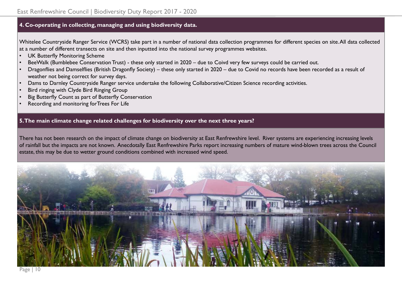## **4. Co-operating in collecting, managing and using biodiversity data.**

Whitelee Countryside Ranger Service (WCRS) take part in a number of national data collection programmes for different species on site. All data collected at a number of different transects on site and then inputted into the national survey programmes websites.

- UK Butterfly Monitoring Scheme
- BeeWalk (Bumblebee Conservation Trust) these only started in 2020 due to Coivd very few surveys could be carried out.
- Dragonflies and Damselflies (British Dragonfly Society) these only started in 2020 due to Covid no records have been recorded as a result of weather not being correct for survey days.
- Dams to Darnley Countryside Ranger service undertake the following Collaborative/Citizen Science recording activities.
- Bird ringing with Clyde Bird Ringing Group
- Big Butterfly Count as part of Butterfly Conservation
- Recording and monitoring forTrees For Life

#### **5. The main climate change related challenges for biodiversity over the next three years?**

There has not been research on the impact of climate change on biodiversity at East Renfrewshire level. River systems are experiencing increasing levels of rainfall but the impacts are not known. Anecdotally East Renfrewshire Parks report increasing numbers of mature wind-blown trees across the Council estate, this may be due to wetter ground conditions combined with increased wind speed.

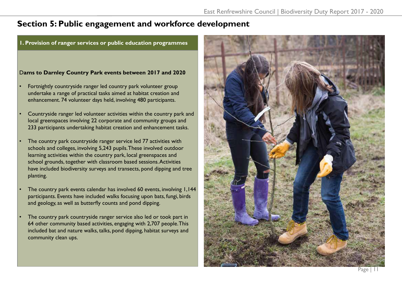# **Section 5: Public engagement and workforce development**

**1. Provision of ranger services or public education programmes**

#### D**ams to Darnley Country Park events between 2017 and 2020**

- Fortnightly countryside ranger led country park volunteer group undertake a range of practical tasks aimed at habitat creation and enhancement. 74 volunteer days held, involving 480 participants.
- Countryside ranger led volunteer activities within the country park and local greenspaces involving 22 corporate and community groups and 233 participants undertaking habitat creation and enhancement tasks.
- The country park countryside ranger service led 77 activities with schools and colleges, involving 5,243 pupils. These involved outdoor learning activities within the country park, local greenspaces and school grounds, together with classroom based sessions. Activities have included biodiversity surveys and transects, pond dipping and tree planting.
- The country park events calendar has involved 60 events, involving 1,144 participants. Events have included walks focusing upon bats, fungi, birds and geology, as well as butterfly counts and pond dipping.
- The country park countryside ranger service also led or took part in 64 other community based activities, engaging with 2,707 people. This included bat and nature walks, talks, pond dipping, habitat surveys and community clean ups.

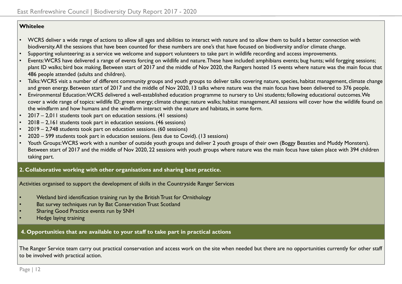## **Whitelee**

- WCRS deliver a wide range of actions to allow all ages and abilities to interact with nature and to allow them to build a better connection with biodiversity. All the sessions that have been counted for these numbers are one's that have focused on biodiversity and/or climate change.
- Supporting volunteering: as a service we welcome and support volunteers to take part in wildlife recording and access improvements.
- Events: WCRS have delivered a range of events forcing on wildlife and nature. These have included: amphibians events; bug hunts; wild forgging sessions; plant ID walks; bird box making. Between start of 2017 and the middle of Nov 2020, the Rangers hosted 15 events where nature was the main focus that 486 people attended (adults and children).
- Talks: WCRS visit a number of different community groups and youth groups to deliver talks covering nature, species, habitat management, climate change and green energy. Between start of 2017 and the middle of Nov 2020, 13 talks where nature was the main focus have been delivered to 376 people.
- Environmental Education: WCRS delivered a well-established education programme to nursery to Uni students; following educational outcomes. We cover a wide range of topics: wildlife ID; green energy; climate change; nature walks; habitat management. All sessions will cover how the wildlife found on the windfarm and how humans and the windfarm interact with the nature and habitats, in some form.
- 2017 2,011 students took part on education sessions. (41 sessions)
- 2018 2,161 students took part in education sessions. (46 sessions)
- 2019 2,748 students took part on education sessions. (60 sessions)
- 2020 599 students took part in education sessions. (less due to Covid). (13 sessions)
- Youth Groups: WCRS work with a number of outside youth groups and deliver 2 youth groups of their own (Boggy Beasties and Muddy Monsters). Between start of 2017 and the middle of Nov 2020, 22 sessions with youth groups where nature was the main focus have taken place with 394 children taking part.

#### **2. Collaborative working with other organisations and sharing best practice.**

Activities organised to support the development of skills in the Countryside Ranger Services

- Wetland bird identification training run by the British Trust for Ornithology
- Bat survey techniques run by Bat Conservation Trust Scotland
- Sharing Good Practice events run by SNH
- Hedge laying training

 **4. Opportunities that are available to your staff to take part in practical actions**

The Ranger Service team carry out practical conservation and access work on the site when needed but there are no opportunities currently for other staff to be involved with practical action.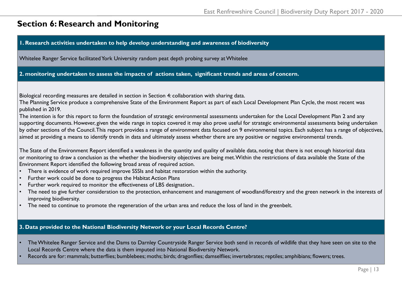# **Section 6: Research and Monitoring**

**1. Research activities undertaken to help develop understanding and awareness of biodiversity**

Whitelee Ranger Service facilitated York University random peat depth probing survey at Whitelee

**2. monitoring undertaken to assess the impacts of actions taken, significant trends and areas of concern.**

Biological recording measures are detailed in section in Section 4: collaboration with sharing data.

The Planning Service produce a comprehensive State of the Environment Report as part of each Local Development Plan Cycle, the most recent was published in 2019.

The intention is for this report to form the foundation of strategic environmental assessments undertaken for the Local Development Plan 2 and any supporting documents. However, given the wide range in topics covered it may also prove useful for strategic environmental assessments being undertaken by other sections of the Council. This report provides a range of environment data focused on 9 environmental topics. Each subject has a range of objectives, aimed at providing a means to identify trends in data and ultimately assess whether there are any positive or negative environmental trends.

The State of the Environment Report identified a weakness in the quantity and quality of available data, noting that there is not enough historical data or monitoring to draw a conclusion as the whether the biodiversity objectives are being met. Within the restrictions of data available the State of the Environment Report identified the following broad areas of required action.

- There is evidence of work required improve SSSIs and habitat restoration within the authority.
- Further work could be done to progress the Habitat Action Plans
- Further work required to monitor the effectiveness of LBS designation..
- The need to give further consideration to the protection, enhancement and management of woodland/forestry and the green network in the interests of improving biodiversity.
- The need to continue to promote the regeneration of the urban area and reduce the loss of land in the greenbelt.

### **3. Data provided to the National Biodiversity Network or your Local Records Centre?**

- The Whitelee Ranger Service and the Dams to Darnley Countryside Ranger Service both send in records of wildlife that they have seen on site to the Local Records Centre where the data is them imputed into National Biodiversity Network.
- Records are for: mammals; butterflies; bumblebees; moths; birds; dragonflies; damselflies; invertebrates; reptiles; amphibians; flowers; trees.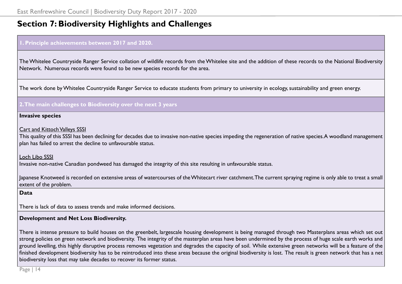# **Section 7: Biodiversity Highlights and Challenges**

#### **1. Principle achievements between 2017 and 2020.**

The Whitelee Countryside Ranger Service collation of wildlife records from the Whitelee site and the addition of these records to the National Biodiversity Network. Numerous records were found to be new species records for the area.

The work done by Whitelee Countryside Ranger Service to educate students from primary to university in ecology, sustainability and green energy.

#### **2. The main challenges to Biodiversity over the next 3 years**

#### **Invasive species**

Cart and Kittoch Valleys SSSI

This quality of this SSSI has been declining for decades due to invasive non-native species impeding the regeneration of native species. A woodland management plan has failed to arrest the decline to unfavourable status.

#### Loch Libo SSSI

Invasive non-native Canadian pondweed has damaged the integrity of this site resulting in unfavourable status.

Japanese Knotweed is recorded on extensive areas of watercourses of the Whitecart river catchment. The current spraying regime is only able to treat a small extent of the problem.

#### **Data**

There is lack of data to assess trends and make informed decisions.

## **Development and Net Loss Biodiversity.**

There is intense pressure to build houses on the greenbelt, largescale housing development is being managed through two Masterplans areas which set out strong policies on green network and biodiversity. The integrity of the masterplan areas have been undermined by the process of huge scale earth works and ground levelling, this highly disruptive process removes vegetation and degrades the capacity of soil. While extensive green networks will be a feature of the finished development biodiversity has to be reintroduced into these areas because the original biodiversity is lost. The result is green network that has a net biodiversity loss that may take decades to recover its former status.